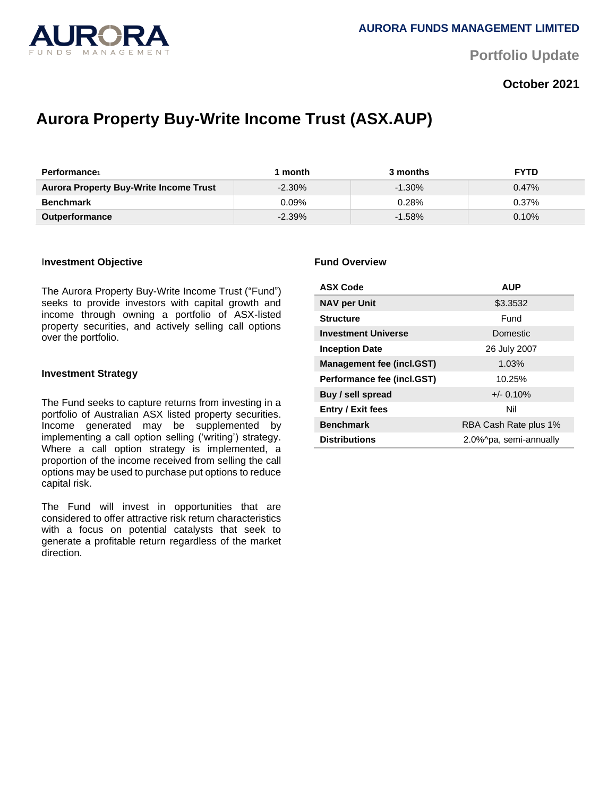

**Portfolio Update** 

# **October 2021**

# **Aurora Property Buy-Write Income Trust (ASX.AUP)**

| <b>Performance</b>                            | month     | 3 months  | <b>FYTD</b> |
|-----------------------------------------------|-----------|-----------|-------------|
| <b>Aurora Property Buy-Write Income Trust</b> | $-2.30\%$ | $-1.30\%$ | $0.47\%$    |
| <b>Benchmark</b>                              | $0.09\%$  | $0.28\%$  | $0.37\%$    |
| <b>Outperformance</b>                         | $-2.39\%$ | $-1.58%$  | $0.10\%$    |

#### I**nvestment Objective**

The Aurora Property Buy-Write Income Trust ("Fund") seeks to provide investors with capital growth and income through owning a portfolio of ASX-listed property securities, and actively selling call options over the portfolio.

#### **Investment Strategy**

The Fund seeks to capture returns from investing in a portfolio of Australian ASX listed property securities. Income generated may be supplemented by implementing a call option selling ('writing') strategy. Where a call option strategy is implemented, a proportion of the income received from selling the call options may be used to purchase put options to reduce capital risk.

The Fund will invest in opportunities that are considered to offer attractive risk return characteristics with a focus on potential catalysts that seek to generate a profitable return regardless of the market direction.

#### **Fund Overview**

| <b>ASX Code</b>                  | <b>AUP</b>             |  |
|----------------------------------|------------------------|--|
| <b>NAV per Unit</b>              | \$3.3532               |  |
| <b>Structure</b>                 | Fund                   |  |
| <b>Investment Universe</b>       | Domestic               |  |
| <b>Inception Date</b>            | 26 July 2007           |  |
| <b>Management fee (incl.GST)</b> | 1.03%                  |  |
| Performance fee (incl.GST)       | 10.25%                 |  |
| Buy / sell spread                | $+/- 0.10%$            |  |
| <b>Entry / Exit fees</b>         | Nil                    |  |
| <b>Benchmark</b>                 | RBA Cash Rate plus 1%  |  |
| <b>Distributions</b>             | 2.0%^pa, semi-annually |  |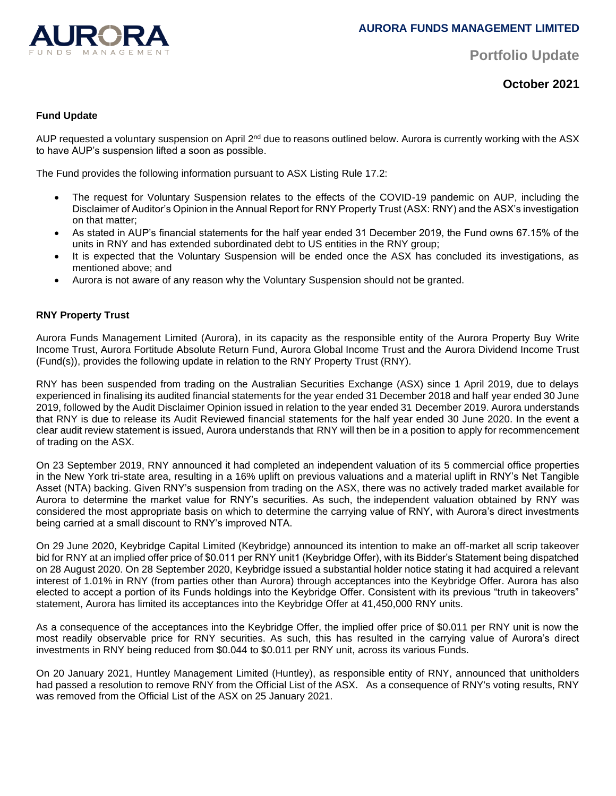

**Portfolio Update** 

**October 2021**

# **Fund Update**

AUP requested a voluntary suspension on April 2<sup>nd</sup> due to reasons outlined below. Aurora is currently working with the ASX to have AUP's suspension lifted a soon as possible.

The Fund provides the following information pursuant to ASX Listing Rule 17.2:

- The request for Voluntary Suspension relates to the effects of the COVID-19 pandemic on AUP, including the Disclaimer of Auditor's Opinion in the Annual Report for RNY Property Trust (ASX: RNY) and the ASX's investigation on that matter;
- As stated in AUP's financial statements for the half year ended 31 December 2019, the Fund owns 67.15% of the units in RNY and has extended subordinated debt to US entities in the RNY group;
- It is expected that the Voluntary Suspension will be ended once the ASX has concluded its investigations, as mentioned above; and
- Aurora is not aware of any reason why the Voluntary Suspension should not be granted.

# **RNY Property Trust**

Aurora Funds Management Limited (Aurora), in its capacity as the responsible entity of the Aurora Property Buy Write Income Trust, Aurora Fortitude Absolute Return Fund, Aurora Global Income Trust and the Aurora Dividend Income Trust (Fund(s)), provides the following update in relation to the RNY Property Trust (RNY).

RNY has been suspended from trading on the Australian Securities Exchange (ASX) since 1 April 2019, due to delays experienced in finalising its audited financial statements for the year ended 31 December 2018 and half year ended 30 June 2019, followed by the Audit Disclaimer Opinion issued in relation to the year ended 31 December 2019. Aurora understands that RNY is due to release its Audit Reviewed financial statements for the half year ended 30 June 2020. In the event a clear audit review statement is issued, Aurora understands that RNY will then be in a position to apply for recommencement of trading on the ASX.

On 23 September 2019, RNY announced it had completed an independent valuation of its 5 commercial office properties in the New York tri-state area, resulting in a 16% uplift on previous valuations and a material uplift in RNY's Net Tangible Asset (NTA) backing. Given RNY's suspension from trading on the ASX, there was no actively traded market available for Aurora to determine the market value for RNY's securities. As such, the independent valuation obtained by RNY was considered the most appropriate basis on which to determine the carrying value of RNY, with Aurora's direct investments being carried at a small discount to RNY's improved NTA.

On 29 June 2020, Keybridge Capital Limited (Keybridge) announced its intention to make an off-market all scrip takeover bid for RNY at an implied offer price of \$0.011 per RNY unit1 (Keybridge Offer), with its Bidder's Statement being dispatched on 28 August 2020. On 28 September 2020, Keybridge issued a substantial holder notice stating it had acquired a relevant interest of 1.01% in RNY (from parties other than Aurora) through acceptances into the Keybridge Offer. Aurora has also elected to accept a portion of its Funds holdings into the Keybridge Offer. Consistent with its previous "truth in takeovers" statement, Aurora has limited its acceptances into the Keybridge Offer at 41,450,000 RNY units.

As a consequence of the acceptances into the Keybridge Offer, the implied offer price of \$0.011 per RNY unit is now the most readily observable price for RNY securities. As such, this has resulted in the carrying value of Aurora's direct investments in RNY being reduced from \$0.044 to \$0.011 per RNY unit, across its various Funds.

On 20 January 2021, Huntley Management Limited (Huntley), as responsible entity of RNY, announced that unitholders had passed a resolution to remove RNY from the Official List of the ASX. As a consequence of RNY's voting results, RNY was removed from the Official List of the ASX on 25 January 2021.